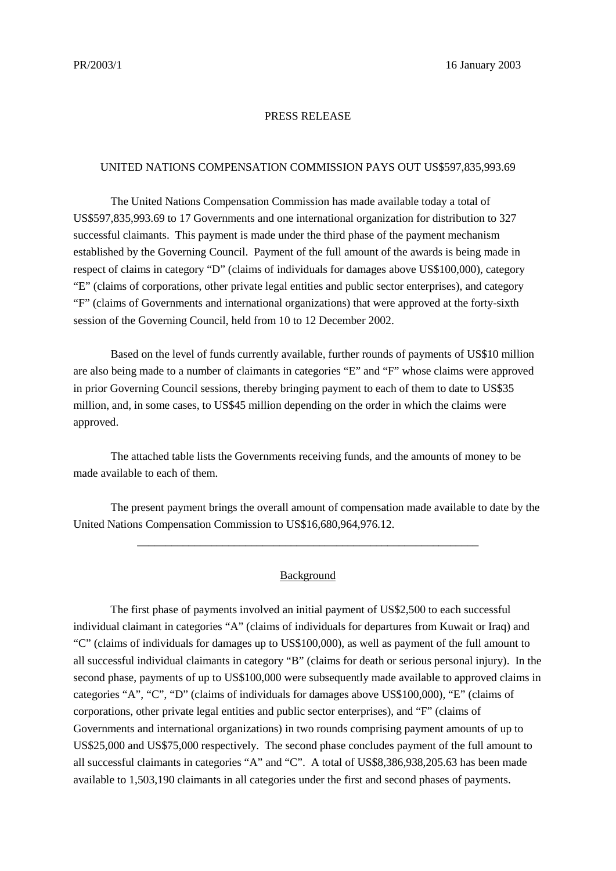#### PRESS RELEASE

### UNITED NATIONS COMPENSATION COMMISSION PAYS OUT US\$597,835,993.69

The United Nations Compensation Commission has made available today a total of US\$597,835,993.69 to 17 Governments and one international organization for distribution to 327 successful claimants. This payment is made under the third phase of the payment mechanism established by the Governing Council. Payment of the full amount of the awards is being made in respect of claims in category "D" (claims of individuals for damages above US\$100,000), category "E" (claims of corporations, other private legal entities and public sector enterprises), and category "F" (claims of Governments and international organizations) that were approved at the forty-sixth session of the Governing Council, held from 10 to 12 December 2002.

Based on the level of funds currently available, further rounds of payments of US\$10 million are also being made to a number of claimants in categories "E" and "F" whose claims were approved in prior Governing Council sessions, thereby bringing payment to each of them to date to US\$35 million, and, in some cases, to US\$45 million depending on the order in which the claims were approved.

The attached table lists the Governments receiving funds, and the amounts of money to be made available to each of them.

The present payment brings the overall amount of compensation made available to date by the United Nations Compensation Commission to US\$16,680,964,976.12.

\_\_\_\_\_\_\_\_\_\_\_\_\_\_\_\_\_\_\_\_\_\_\_\_\_\_\_\_\_\_\_\_\_\_\_\_\_\_\_\_\_\_\_\_\_\_\_\_\_\_\_\_\_\_\_\_\_\_\_\_

### Background

The first phase of payments involved an initial payment of US\$2,500 to each successful individual claimant in categories "A" (claims of individuals for departures from Kuwait or Iraq) and "C" (claims of individuals for damages up to US\$100,000), as well as payment of the full amount to all successful individual claimants in category "B" (claims for death or serious personal injury). In the second phase, payments of up to US\$100,000 were subsequently made available to approved claims in categories "A", "C", "D" (claims of individuals for damages above US\$100,000), "E" (claims of corporations, other private legal entities and public sector enterprises), and "F" (claims of Governments and international organizations) in two rounds comprising payment amounts of up to US\$25,000 and US\$75,000 respectively. The second phase concludes payment of the full amount to all successful claimants in categories "A" and "C". A total of US\$8,386,938,205.63 has been made available to 1,503,190 claimants in all categories under the first and second phases of payments.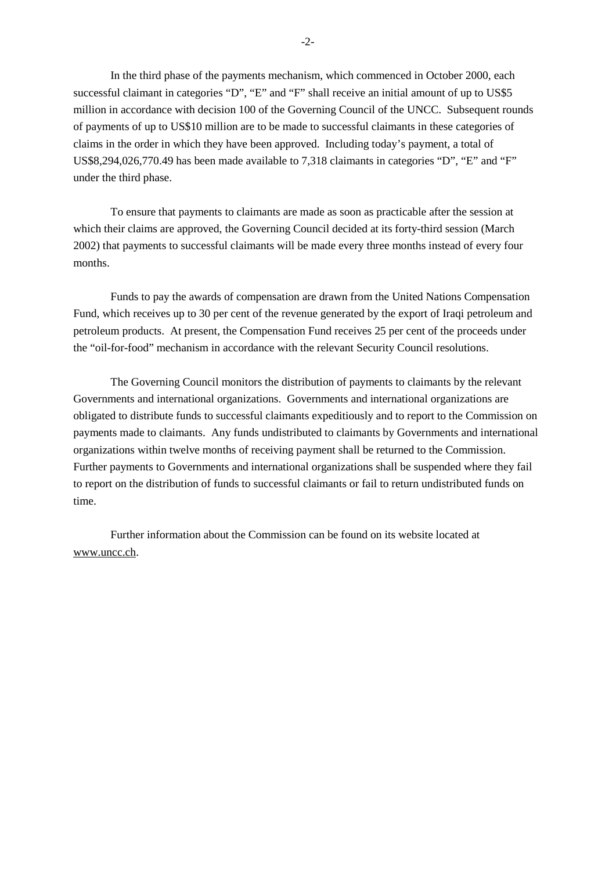In the third phase of the payments mechanism, which commenced in October 2000, each successful claimant in categories "D", "E" and "F" shall receive an initial amount of up to US\$5 million in accordance with decision 100 of the Governing Council of the UNCC. Subsequent rounds of payments of up to US\$10 million are to be made to successful claimants in these categories of claims in the order in which they have been approved. Including today's payment, a total of US\$8,294,026,770.49 has been made available to 7,318 claimants in categories "D", "E" and "F" under the third phase.

To ensure that payments to claimants are made as soon as practicable after the session at which their claims are approved, the Governing Council decided at its forty-third session (March 2002) that payments to successful claimants will be made every three months instead of every four months.

Funds to pay the awards of compensation are drawn from the United Nations Compensation Fund, which receives up to 30 per cent of the revenue generated by the export of Iraqi petroleum and petroleum products. At present, the Compensation Fund receives 25 per cent of the proceeds under the "oil-for-food" mechanism in accordance with the relevant Security Council resolutions.

The Governing Council monitors the distribution of payments to claimants by the relevant Governments and international organizations. Governments and international organizations are obligated to distribute funds to successful claimants expeditiously and to report to the Commission on payments made to claimants. Any funds undistributed to claimants by Governments and international organizations within twelve months of receiving payment shall be returned to the Commission. Further payments to Governments and international organizations shall be suspended where they fail to report on the distribution of funds to successful claimants or fail to return undistributed funds on time.

Further information about the Commission can be found on its website located at www.uncc.ch.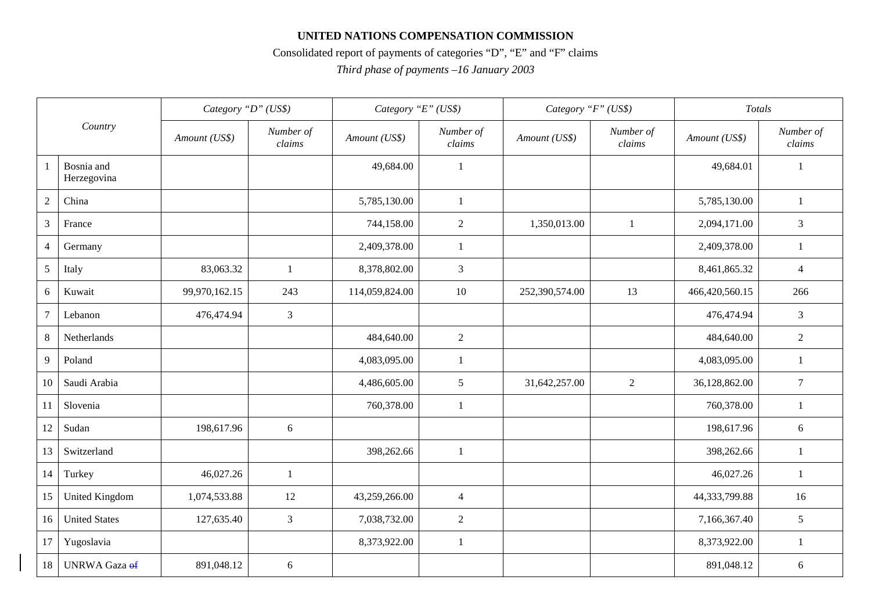## **UNITED NATIONS COMPENSATION COMMISSION**

# Consolidated report of payments of categories "D", "E" and "F" claims

*Third phase of payments –16 January 2003*

| Country        |                           | Category "D" (US\$) |                     | Category "E" (US\$) |                     | Category "F" (US\$) |                     | Totals         |                     |
|----------------|---------------------------|---------------------|---------------------|---------------------|---------------------|---------------------|---------------------|----------------|---------------------|
|                |                           | Amount (US\$)       | Number of<br>clains | Amount (US\$)       | Number of<br>clains | Amount (US\$)       | Number of<br>clains | Amount (US\$)  | Number of<br>clains |
| -1             | Bosnia and<br>Herzegovina |                     |                     | 49,684.00           | $\mathbf{1}$        |                     |                     | 49,684.01      | $\mathbf{1}$        |
| $\overline{2}$ | China                     |                     |                     | 5,785,130.00        | $\mathbf{1}$        |                     |                     | 5,785,130.00   | $\mathbf{1}$        |
| $\mathfrak{Z}$ | France                    |                     |                     | 744,158.00          | $\sqrt{2}$          | 1,350,013.00        | 1                   | 2,094,171.00   | $\mathfrak{Z}$      |
| $\overline{4}$ | Germany                   |                     |                     | 2,409,378.00        | 1                   |                     |                     | 2,409,378.00   | -1                  |
| $\overline{5}$ | Italy                     | 83,063.32           | $\mathbf{1}$        | 8,378,802.00        | 3                   |                     |                     | 8,461,865.32   | $\overline{4}$      |
| 6              | Kuwait                    | 99,970,162.15       | 243                 | 114,059,824.00      | 10                  | 252,390,574.00      | 13                  | 466,420,560.15 | 266                 |
| $\overline{7}$ | Lebanon                   | 476,474.94          | $\mathfrak{Z}$      |                     |                     |                     |                     | 476,474.94     | $\mathfrak{Z}$      |
| $\,8\,$        | Netherlands               |                     |                     | 484,640.00          | 2                   |                     |                     | 484,640.00     | 2                   |
| 9              | Poland                    |                     |                     | 4,083,095.00        | 1                   |                     |                     | 4,083,095.00   | 1                   |
| 10             | Saudi Arabia              |                     |                     | 4,486,605.00        | 5                   | 31,642,257.00       | 2                   | 36,128,862.00  | $7\phantom{.0}$     |
| 11             | Slovenia                  |                     |                     | 760,378.00          | 1                   |                     |                     | 760,378.00     | $\mathbf{1}$        |
| 12             | Sudan                     | 198,617.96          | 6                   |                     |                     |                     |                     | 198,617.96     | $6\,$               |
| 13             | Switzerland               |                     |                     | 398,262.66          | $\mathbf{1}$        |                     |                     | 398,262.66     | $\overline{1}$      |
| 14             | Turkey                    | 46,027.26           | 1                   |                     |                     |                     |                     | 46,027.26      | $\mathbf{1}$        |
| 15             | <b>United Kingdom</b>     | 1,074,533.88        | 12                  | 43,259,266.00       | $\overline{4}$      |                     |                     | 44,333,799.88  | 16                  |
| 16             | <b>United States</b>      | 127,635.40          | 3                   | 7,038,732.00        | $\overline{2}$      |                     |                     | 7,166,367.40   | 5                   |
| 17             | Yugoslavia                |                     |                     | 8,373,922.00        | $\mathbf{1}$        |                     |                     | 8,373,922.00   | $\mathbf{1}$        |
| 18             | <b>UNRWA</b> Gaza of      | 891,048.12          | 6                   |                     |                     |                     |                     | 891,048.12     | 6                   |